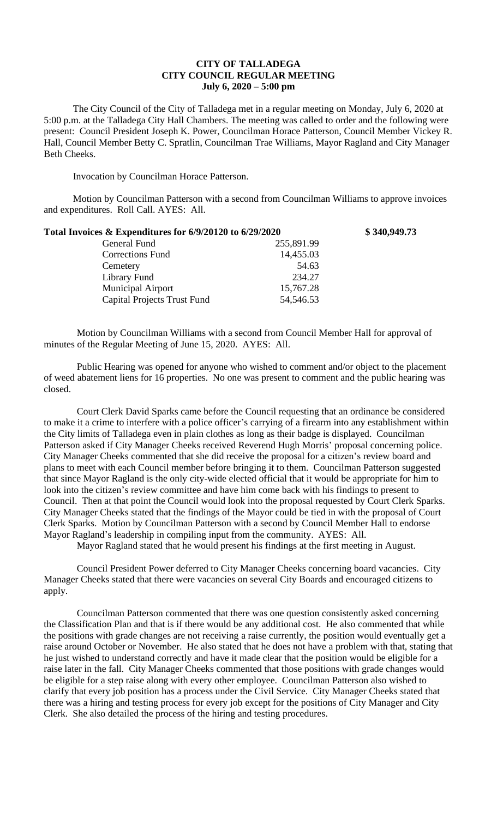## **CITY OF TALLADEGA CITY COUNCIL REGULAR MEETING July 6, 2020 – 5:00 pm**

The City Council of the City of Talladega met in a regular meeting on Monday, July 6, 2020 at 5:00 p.m. at the Talladega City Hall Chambers. The meeting was called to order and the following were present: Council President Joseph K. Power, Councilman Horace Patterson, Council Member Vickey R. Hall, Council Member Betty C. Spratlin, Councilman Trae Williams, Mayor Ragland and City Manager Beth Cheeks.

Invocation by Councilman Horace Patterson.

Motion by Councilman Patterson with a second from Councilman Williams to approve invoices and expenditures. Roll Call. AYES: All.

| Total Invoices & Expenditures for 6/9/20120 to 6/29/2020 |            | \$340,949.73 |
|----------------------------------------------------------|------------|--------------|
| General Fund                                             | 255,891.99 |              |
| <b>Corrections Fund</b>                                  | 14,455.03  |              |
| Cemetery                                                 | 54.63      |              |
| Library Fund                                             | 234.27     |              |
| <b>Municipal Airport</b>                                 | 15,767.28  |              |
| <b>Capital Projects Trust Fund</b>                       | 54,546.53  |              |

Motion by Councilman Williams with a second from Council Member Hall for approval of minutes of the Regular Meeting of June 15, 2020. AYES: All.

Public Hearing was opened for anyone who wished to comment and/or object to the placement of weed abatement liens for 16 properties. No one was present to comment and the public hearing was closed.

Court Clerk David Sparks came before the Council requesting that an ordinance be considered to make it a crime to interfere with a police officer's carrying of a firearm into any establishment within the City limits of Talladega even in plain clothes as long as their badge is displayed. Councilman Patterson asked if City Manager Cheeks received Reverend Hugh Morris' proposal concerning police. City Manager Cheeks commented that she did receive the proposal for a citizen's review board and plans to meet with each Council member before bringing it to them. Councilman Patterson suggested that since Mayor Ragland is the only city-wide elected official that it would be appropriate for him to look into the citizen's review committee and have him come back with his findings to present to Council. Then at that point the Council would look into the proposal requested by Court Clerk Sparks. City Manager Cheeks stated that the findings of the Mayor could be tied in with the proposal of Court Clerk Sparks. Motion by Councilman Patterson with a second by Council Member Hall to endorse Mayor Ragland's leadership in compiling input from the community. AYES: All.

Mayor Ragland stated that he would present his findings at the first meeting in August.

Council President Power deferred to City Manager Cheeks concerning board vacancies. City Manager Cheeks stated that there were vacancies on several City Boards and encouraged citizens to apply.

Councilman Patterson commented that there was one question consistently asked concerning the Classification Plan and that is if there would be any additional cost. He also commented that while the positions with grade changes are not receiving a raise currently, the position would eventually get a raise around October or November. He also stated that he does not have a problem with that, stating that he just wished to understand correctly and have it made clear that the position would be eligible for a raise later in the fall. City Manager Cheeks commented that those positions with grade changes would be eligible for a step raise along with every other employee. Councilman Patterson also wished to clarify that every job position has a process under the Civil Service. City Manager Cheeks stated that there was a hiring and testing process for every job except for the positions of City Manager and City Clerk. She also detailed the process of the hiring and testing procedures.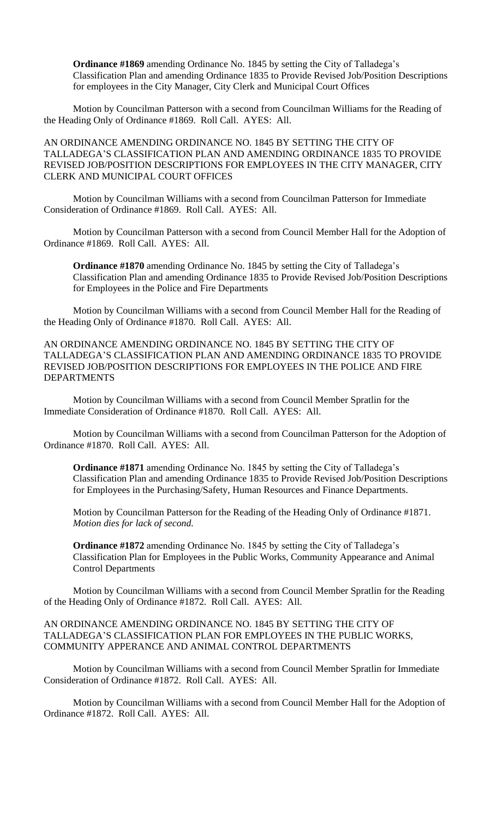**Ordinance #1869** amending Ordinance No. 1845 by setting the City of Talladega's Classification Plan and amending Ordinance 1835 to Provide Revised Job/Position Descriptions for employees in the City Manager, City Clerk and Municipal Court Offices

Motion by Councilman Patterson with a second from Councilman Williams for the Reading of the Heading Only of Ordinance #1869. Roll Call. AYES: All.

AN ORDINANCE AMENDING ORDINANCE NO. 1845 BY SETTING THE CITY OF TALLADEGA'S CLASSIFICATION PLAN AND AMENDING ORDINANCE 1835 TO PROVIDE REVISED JOB/POSITION DESCRIPTIONS FOR EMPLOYEES IN THE CITY MANAGER, CITY CLERK AND MUNICIPAL COURT OFFICES

Motion by Councilman Williams with a second from Councilman Patterson for Immediate Consideration of Ordinance #1869. Roll Call. AYES: All.

Motion by Councilman Patterson with a second from Council Member Hall for the Adoption of Ordinance #1869. Roll Call. AYES: All.

**Ordinance #1870** amending Ordinance No. 1845 by setting the City of Talladega's Classification Plan and amending Ordinance 1835 to Provide Revised Job/Position Descriptions for Employees in the Police and Fire Departments

Motion by Councilman Williams with a second from Council Member Hall for the Reading of the Heading Only of Ordinance #1870. Roll Call. AYES: All.

AN ORDINANCE AMENDING ORDINANCE NO. 1845 BY SETTING THE CITY OF TALLADEGA'S CLASSIFICATION PLAN AND AMENDING ORDINANCE 1835 TO PROVIDE REVISED JOB/POSITION DESCRIPTIONS FOR EMPLOYEES IN THE POLICE AND FIRE DEPARTMENTS

Motion by Councilman Williams with a second from Council Member Spratlin for the Immediate Consideration of Ordinance #1870. Roll Call. AYES: All.

Motion by Councilman Williams with a second from Councilman Patterson for the Adoption of Ordinance #1870. Roll Call. AYES: All.

**Ordinance #1871** amending Ordinance No. 1845 by setting the City of Talladega's Classification Plan and amending Ordinance 1835 to Provide Revised Job/Position Descriptions for Employees in the Purchasing/Safety, Human Resources and Finance Departments.

Motion by Councilman Patterson for the Reading of the Heading Only of Ordinance #1871. *Motion dies for lack of second.*

**Ordinance #1872** amending Ordinance No. 1845 by setting the City of Talladega's Classification Plan for Employees in the Public Works, Community Appearance and Animal Control Departments

Motion by Councilman Williams with a second from Council Member Spratlin for the Reading of the Heading Only of Ordinance #1872. Roll Call. AYES: All.

AN ORDINANCE AMENDING ORDINANCE NO. 1845 BY SETTING THE CITY OF TALLADEGA'S CLASSIFICATION PLAN FOR EMPLOYEES IN THE PUBLIC WORKS, COMMUNITY APPERANCE AND ANIMAL CONTROL DEPARTMENTS

Motion by Councilman Williams with a second from Council Member Spratlin for Immediate Consideration of Ordinance #1872. Roll Call. AYES: All.

Motion by Councilman Williams with a second from Council Member Hall for the Adoption of Ordinance #1872. Roll Call. AYES: All.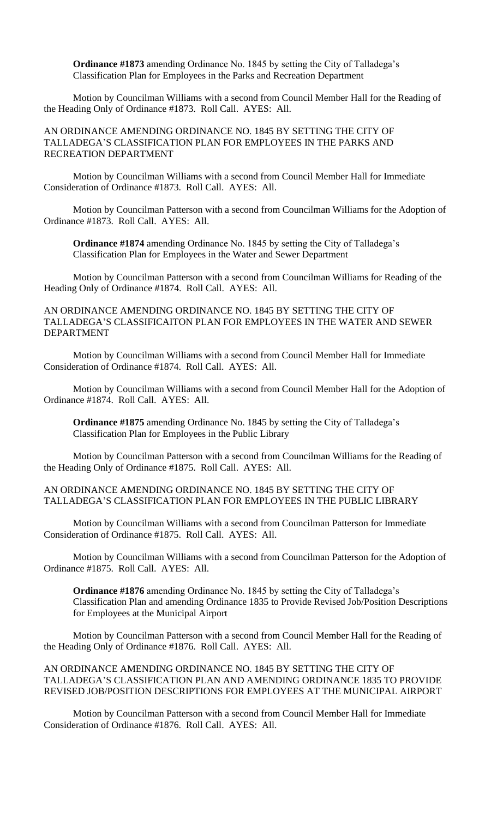**Ordinance #1873** amending Ordinance No. 1845 by setting the City of Talladega's Classification Plan for Employees in the Parks and Recreation Department

Motion by Councilman Williams with a second from Council Member Hall for the Reading of the Heading Only of Ordinance #1873. Roll Call. AYES: All.

AN ORDINANCE AMENDING ORDINANCE NO. 1845 BY SETTING THE CITY OF TALLADEGA'S CLASSIFICATION PLAN FOR EMPLOYEES IN THE PARKS AND RECREATION DEPARTMENT

Motion by Councilman Williams with a second from Council Member Hall for Immediate Consideration of Ordinance #1873. Roll Call. AYES: All.

Motion by Councilman Patterson with a second from Councilman Williams for the Adoption of Ordinance #1873. Roll Call. AYES: All.

**Ordinance #1874** amending Ordinance No. 1845 by setting the City of Talladega's Classification Plan for Employees in the Water and Sewer Department

Motion by Councilman Patterson with a second from Councilman Williams for Reading of the Heading Only of Ordinance #1874. Roll Call. AYES: All.

## AN ORDINANCE AMENDING ORDINANCE NO. 1845 BY SETTING THE CITY OF TALLADEGA'S CLASSIFICAITON PLAN FOR EMPLOYEES IN THE WATER AND SEWER DEPARTMENT

Motion by Councilman Williams with a second from Council Member Hall for Immediate Consideration of Ordinance #1874. Roll Call. AYES: All.

Motion by Councilman Williams with a second from Council Member Hall for the Adoption of Ordinance #1874. Roll Call. AYES: All.

**Ordinance #1875** amending Ordinance No. 1845 by setting the City of Talladega's Classification Plan for Employees in the Public Library

Motion by Councilman Patterson with a second from Councilman Williams for the Reading of the Heading Only of Ordinance #1875. Roll Call. AYES: All.

## AN ORDINANCE AMENDING ORDINANCE NO. 1845 BY SETTING THE CITY OF TALLADEGA'S CLASSIFICATION PLAN FOR EMPLOYEES IN THE PUBLIC LIBRARY

Motion by Councilman Williams with a second from Councilman Patterson for Immediate Consideration of Ordinance #1875. Roll Call. AYES: All.

Motion by Councilman Williams with a second from Councilman Patterson for the Adoption of Ordinance #1875. Roll Call. AYES: All.

**Ordinance #1876** amending Ordinance No. 1845 by setting the City of Talladega's Classification Plan and amending Ordinance 1835 to Provide Revised Job/Position Descriptions for Employees at the Municipal Airport

Motion by Councilman Patterson with a second from Council Member Hall for the Reading of the Heading Only of Ordinance #1876. Roll Call. AYES: All.

AN ORDINANCE AMENDING ORDINANCE NO. 1845 BY SETTING THE CITY OF TALLADEGA'S CLASSIFICATION PLAN AND AMENDING ORDINANCE 1835 TO PROVIDE REVISED JOB/POSITION DESCRIPTIONS FOR EMPLOYEES AT THE MUNICIPAL AIRPORT

Motion by Councilman Patterson with a second from Council Member Hall for Immediate Consideration of Ordinance #1876. Roll Call. AYES: All.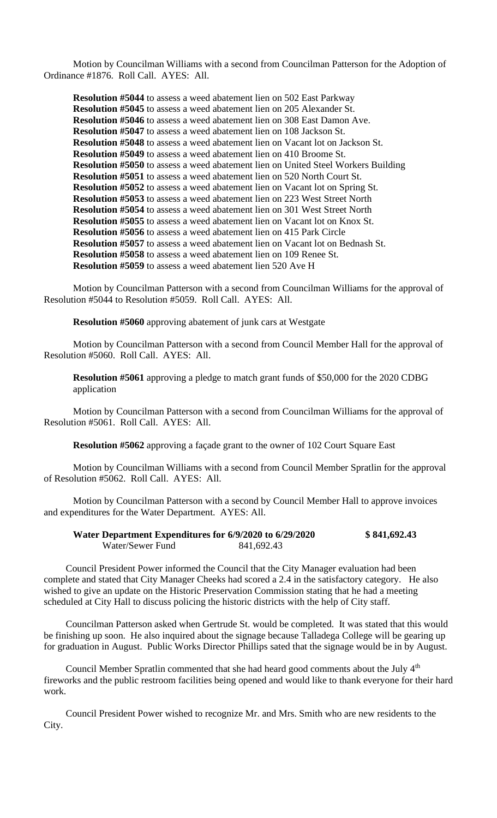Motion by Councilman Williams with a second from Councilman Patterson for the Adoption of Ordinance #1876. Roll Call. AYES: All.

**Resolution #5044** to assess a weed abatement lien on 502 East Parkway **Resolution #5045** to assess a weed abatement lien on 205 Alexander St. **Resolution #5046** to assess a weed abatement lien on 308 East Damon Ave. **Resolution #5047** to assess a weed abatement lien on 108 Jackson St. **Resolution #5048** to assess a weed abatement lien on Vacant lot on Jackson St. **Resolution #5049** to assess a weed abatement lien on 410 Broome St. **Resolution #5050** to assess a weed abatement lien on United Steel Workers Building **Resolution #5051** to assess a weed abatement lien on 520 North Court St. **Resolution #5052** to assess a weed abatement lien on Vacant lot on Spring St. **Resolution #5053** to assess a weed abatement lien on 223 West Street North **Resolution #5054** to assess a weed abatement lien on 301 West Street North **Resolution #5055** to assess a weed abatement lien on Vacant lot on Knox St. **Resolution #5056** to assess a weed abatement lien on 415 Park Circle **Resolution #5057** to assess a weed abatement lien on Vacant lot on Bednash St. **Resolution #5058** to assess a weed abatement lien on 109 Renee St. **Resolution #5059** to assess a weed abatement lien 520 Ave H

Motion by Councilman Patterson with a second from Councilman Williams for the approval of Resolution #5044 to Resolution #5059. Roll Call. AYES: All.

**Resolution #5060** approving abatement of junk cars at Westgate

Motion by Councilman Patterson with a second from Council Member Hall for the approval of Resolution #5060. Roll Call. AYES: All.

**Resolution #5061** approving a pledge to match grant funds of \$50,000 for the 2020 CDBG application

Motion by Councilman Patterson with a second from Councilman Williams for the approval of Resolution #5061. Roll Call. AYES: All.

**Resolution #5062** approving a façade grant to the owner of 102 Court Square East

Motion by Councilman Williams with a second from Council Member Spratlin for the approval of Resolution #5062. Roll Call. AYES: All.

Motion by Councilman Patterson with a second by Council Member Hall to approve invoices and expenditures for the Water Department. AYES: All.

| Water Department Expenditures for 6/9/2020 to 6/29/2020 |            | \$841,692.43 |
|---------------------------------------------------------|------------|--------------|
| Water/Sewer Fund                                        | 841,692.43 |              |

Council President Power informed the Council that the City Manager evaluation had been complete and stated that City Manager Cheeks had scored a 2.4 in the satisfactory category. He also wished to give an update on the Historic Preservation Commission stating that he had a meeting scheduled at City Hall to discuss policing the historic districts with the help of City staff.

Councilman Patterson asked when Gertrude St. would be completed. It was stated that this would be finishing up soon. He also inquired about the signage because Talladega College will be gearing up for graduation in August. Public Works Director Phillips sated that the signage would be in by August.

Council Member Spratlin commented that she had heard good comments about the July 4<sup>th</sup> fireworks and the public restroom facilities being opened and would like to thank everyone for their hard work.

Council President Power wished to recognize Mr. and Mrs. Smith who are new residents to the City.